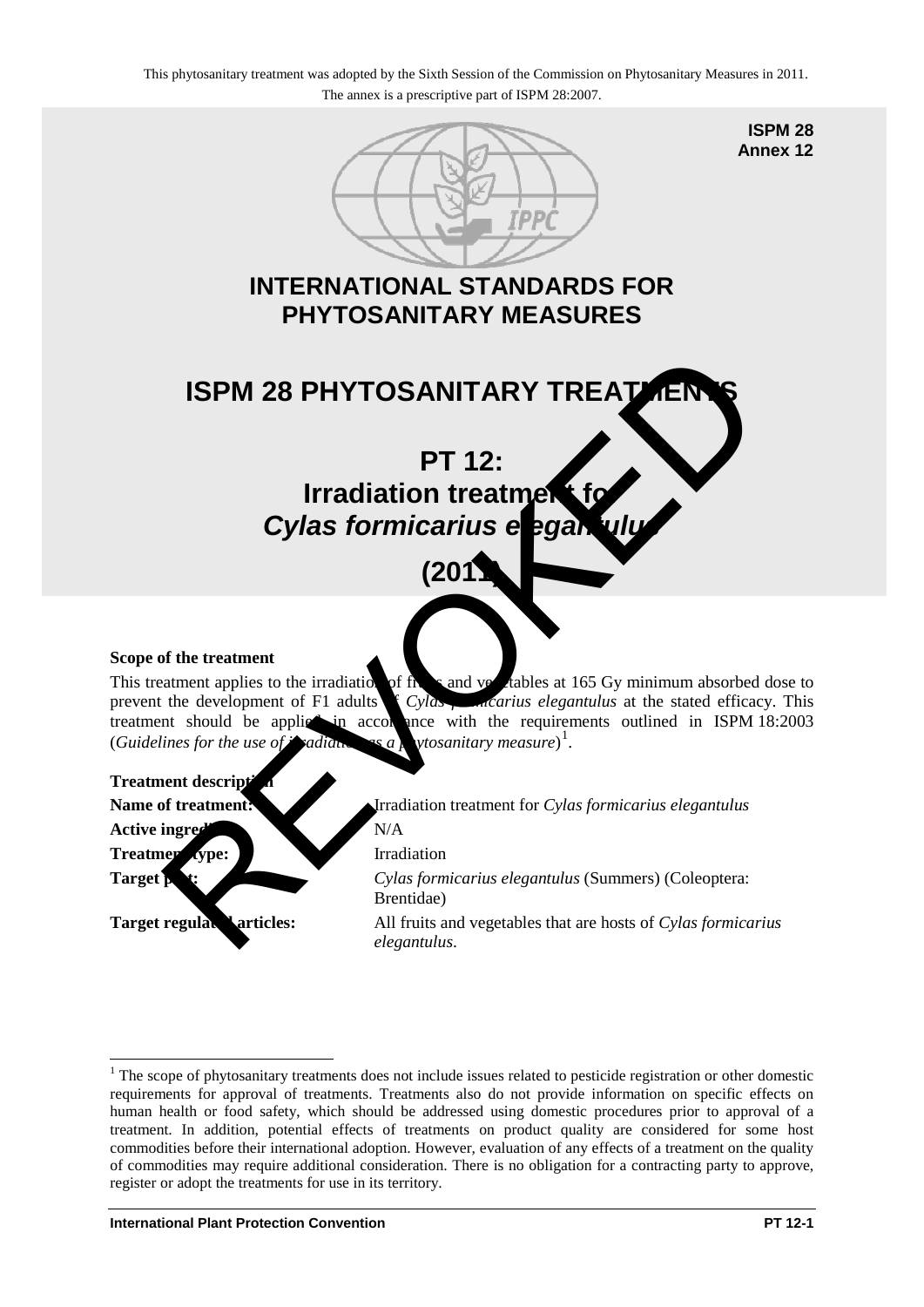

**ISPM 28 Annex 12**

# **INTERNATIONAL STANDARDS FOR PHYTOSANITARY MEASURES**



**(2011)** 

# **Scope of the treatment**

This treatment applies to the irradiation of  $\hat{f}$  is and vegetables at 165 Gy minimum absorbed dose to prevent the development of F1 adults  $\int Cy \, ds$ , *detailing elegantulus* at the stated efficacy. This treatment should be applied in accordance with the requirements outlined in ISPM 18:2003 (*Guidelines for the use of <i>andiation as a* 1 .

# **Treatment descript**

Active ingred**ent:** N/A **Treatment type:** Irradiation

<u>.</u>

Name of treatment: **IFR** Irradiation treatment for *Cylas formicarius elegantulus* 

**Target petitive Cylas formicarius elegantulus (Summers) (Coleoptera:** Brentidae)

**Target regulare variables:** All fruits and vegetables that are hosts of *Cylas formicarius elegantulus*.

<span id="page-0-0"></span><sup>&</sup>lt;sup>1</sup> The scope of phytosanitary treatments does not include issues related to pesticide registration or other domestic requirements for approval of treatments. Treatments also do not provide information on specific effects on human health or food safety, which should be addressed using domestic procedures prior to approval of a treatment. In addition, potential effects of treatments on product quality are considered for some host commodities before their international adoption. However, evaluation of any effects of a treatment on the quality of commodities may require additional consideration. There is no obligation for a contracting party to approve, register or adopt the treatments for use in its territory.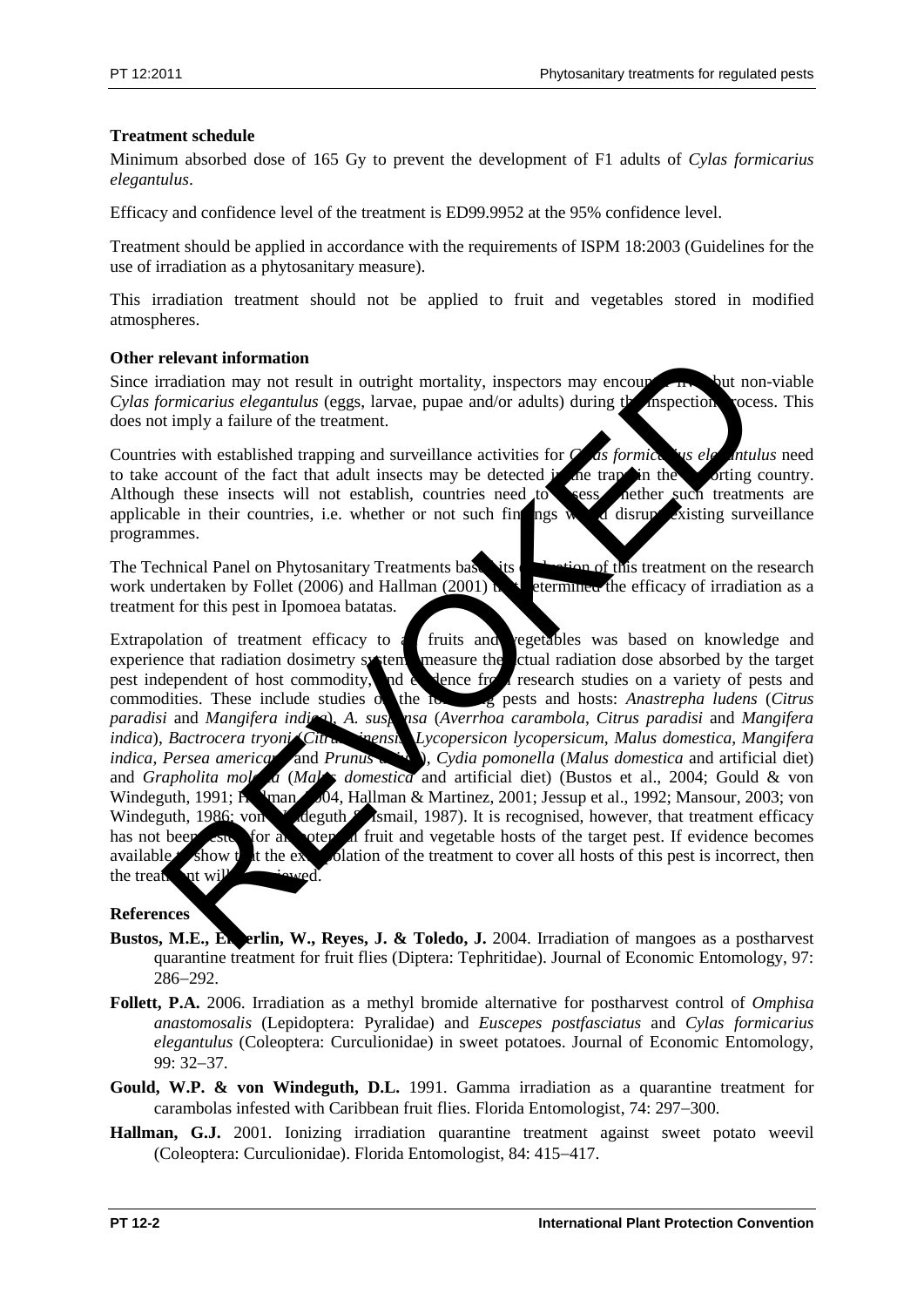# **Treatment schedule**

Minimum absorbed dose of 165 Gy to prevent the development of F1 adults of *Cylas formicarius elegantulus*.

Efficacy and confidence level of the treatment is ED99.9952 at the 95% confidence level.

Treatment should be applied in accordance with the requirements of ISPM 18:2003 (Guidelines for the use of irradiation as a phytosanitary measure).

This irradiation treatment should not be applied to fruit and vegetables stored in modified atmospheres.

# **Other relevant information**

Since irradiation may not result in outright mortality, inspectors may encounter live, but non-viable *Cylas formicarius elegantulus* (eggs, larvae, pupae and/or adults) during the inspection process. This does not imply a failure of the treatment.

Countries with established trapping and surveillance activities for *C*<sub>*ds formicarius elegantulus* need</sub> to take account of the fact that adult insects may be detected in the importing country.<br>Although these insects will not establish, countries need to sesse dether such treatments are Although these insects will not establish, countries need  $\phi$ applicable in their countries, i.e. whether or not such findings would disrupt existing surveillance programmes.

The Technical Panel on Phytosanitary Treatments based its examine of this treatment on the research work undertaken by Follet (2006) and Hallman (2001) that efficiency is determined the efficacy of irradiation as a treatment for this pest in Ipomoea batatas.

Extrapolation of treatment efficacy to all fruits and vegetables was based on knowledge and experience that radiation dosimetry systems measure the ctual radiation dose absorbed by the target pest independent of host commodity, and evidence from research studies on a variety of pests and commodities. These include studies on the following pests and hosts: *Anastrepha ludens* (*Citrus paradisi* and *Mangifera indica*), *A. suspensa* (*Averrhoa carambola*, *Citrus paradisi* and *Mangifera indica*), *Bactrocera tryoni* (*Citrus sinensis*, *Lycopersicon lycopersicum*, *Malus domestica*, *Mangifera indica*. *Persea america* and *Prunus indica*, *Persea american* and *Prunus and*, *Cydia pomonella* (*Malus domestica* and artificial diet) and *Grapholita mol a* (*Mal*) *domestica* and artificial diet) (Bustos et al., 2004; Gould & von a (*Mal*) domestica and artificial diet) (Bustos et al., 2004; Gould & von Windeguth, 1991; Hallman, 2004, Hallman & Martinez, 2001; Jessup et al., 1992; Mansour, 2003; von Windeguth, 1986; von Windeguth & Ismail, 1987). It is recognised, however, that treatment efficacy has not been test, for all potential fruit and vegetable hosts of the target pest. If evidence becomes available  $t$  show that the extrapolation of the treatment to cover all hosts of this pest is incorrect, then the treatment will relevant information<br>
correlation may not result in outright mortality, inspectors may encourage the<br>
correlation of relation of the treatment.<br>
See swith established trapping and surveillance activities for the formite of

# **References**

- Bustos, M.E., Engerlin, W., Reyes, J. & Toledo, J. 2004. Irradiation of mangoes as a postharvest quarantine treatment for fruit flies (Diptera: Tephritidae). Journal of Economic Entomology, 97: 286−292.
- **Follett, P.A.** 2006. Irradiation as a methyl bromide alternative for postharvest control of *Omphisa anastomosalis* (Lepidoptera: Pyralidae) and *Euscepes postfasciatus* and *Cylas formicarius elegantulus* (Coleoptera: Curculionidae) in sweet potatoes. Journal of Economic Entomology, 99: 32−37.
- **Gould, W.P. & von Windeguth, D.L.** 1991. Gamma irradiation as a quarantine treatment for carambolas infested with Caribbean fruit flies. Florida Entomologist, 74: 297−300.
- **Hallman, G.J.** 2001. Ionizing irradiation quarantine treatment against sweet potato weevil (Coleoptera: Curculionidae). Florida Entomologist, 84: 415−417.